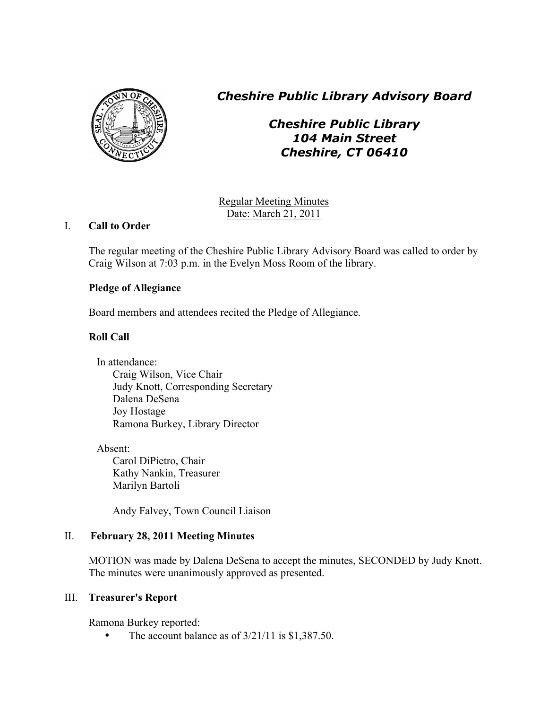

*Cheshire Public Library Advisory Board*

*Cheshire Public Library 104 Main Street Cheshire, CT 06410*

Regular Meeting Minutes Date: March 21, 2011

# I. **Call to Order**

The regular meeting of the Cheshire Public Library Advisory Board was called to order by Craig Wilson at 7:03 p.m. in the Evelyn Moss Room of the library.

## **Pledge of Allegiance**

Board members and attendees recited the Pledge of Allegiance.

# **Roll Call**

In attendance: Craig Wilson, Vice Chair Judy Knott, Corresponding Secretary Dalena DeSena Joy Hostage Ramona Burkey, Library Director

Absent:

Carol DiPietro, Chair Kathy Nankin, Treasurer Marilyn Bartoli

Andy Falvey, Town Council Liaison

# II. **February 28, 2011 Meeting Minutes**

MOTION was made by Dalena DeSena to accept the minutes, SECONDED by Judy Knott. The minutes were unanimously approved as presented.

## III. **Treasurer's Report**

Ramona Burkey reported:

• The account balance as of  $3/21/11$  is \$1,387.50.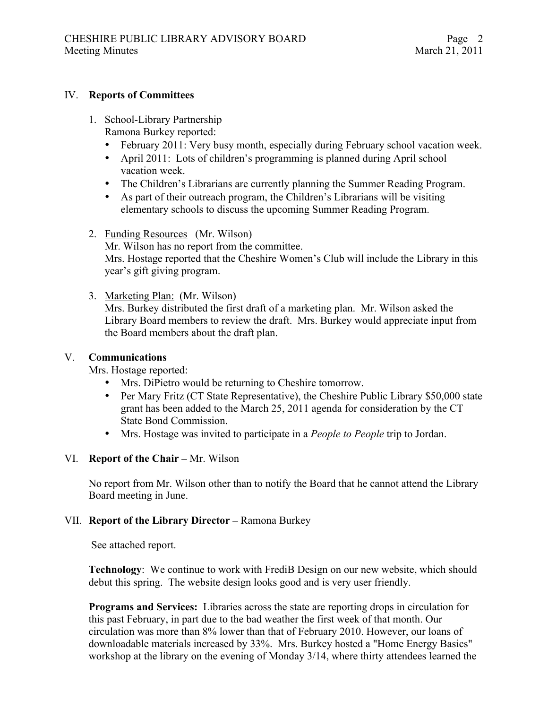#### IV. **Reports of Committees**

- 1. School-Library Partnership Ramona Burkey reported:
	- February 2011: Very busy month, especially during February school vacation week.
	- April 2011: Lots of children's programming is planned during April school vacation week.
	- The Children's Librarians are currently planning the Summer Reading Program.
	- As part of their outreach program, the Children's Librarians will be visiting elementary schools to discuss the upcoming Summer Reading Program.
- 2. Funding Resources (Mr. Wilson) Mr. Wilson has no report from the committee. Mrs. Hostage reported that the Cheshire Women's Club will include the Library in this year's gift giving program.
- 3. Marketing Plan: (Mr. Wilson)

Mrs. Burkey distributed the first draft of a marketing plan. Mr. Wilson asked the Library Board members to review the draft. Mrs. Burkey would appreciate input from the Board members about the draft plan.

#### V. **Communications**

Mrs. Hostage reported:

- Mrs. DiPietro would be returning to Cheshire tomorrow.
- Per Mary Fritz (CT State Representative), the Cheshire Public Library \$50,000 state grant has been added to the March 25, 2011 agenda for consideration by the CT State Bond Commission.
- Mrs. Hostage was invited to participate in a *People to People* trip to Jordan.

#### VI. **Report of the Chair –** Mr. Wilson

No report from Mr. Wilson other than to notify the Board that he cannot attend the Library Board meeting in June.

#### VII. **Report of the Library Director –** Ramona Burkey

See attached report.

**Technology:** We continue to work with FrediB Design on our new website, which should debut this spring. The website design looks good and is very user friendly.

**Programs and Services:** Libraries across the state are reporting drops in circulation for this past February, in part due to the bad weather the first week of that month. Our circulation was more than 8% lower than that of February 2010. However, our loans of downloadable materials increased by 33%. Mrs. Burkey hosted a "Home Energy Basics" workshop at the library on the evening of Monday 3/14, where thirty attendees learned the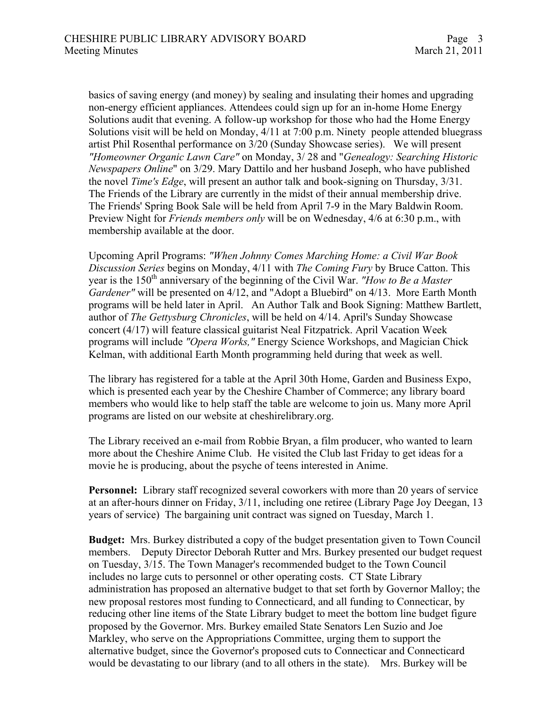basics of saving energy (and money) by sealing and insulating their homes and upgrading non-energy efficient appliances. Attendees could sign up for an in-home Home Energy Solutions audit that evening. A follow-up workshop for those who had the Home Energy Solutions visit will be held on Monday, 4/11 at 7:00 p.m. Ninety people attended bluegrass artist Phil Rosenthal performance on 3/20 (Sunday Showcase series). We will present *"Homeowner Organic Lawn Care"* on Monday, 3/ 28 and "*Genealogy: Searching Historic Newspapers Online*" on 3/29. Mary Dattilo and her husband Joseph, who have published the novel *Time's Edge*, will present an author talk and book-signing on Thursday, 3/31. The Friends of the Library are currently in the midst of their annual membership drive. The Friends' Spring Book Sale will be held from April 7-9 in the Mary Baldwin Room. Preview Night for *Friends members only* will be on Wednesday, 4/6 at 6:30 p.m., with membership available at the door.

Upcoming April Programs: *"When Johnny Comes Marching Home: a Civil War Book Discussion Series* begins on Monday, 4/11 with *The Coming Fury* by Bruce Catton. This year is the 150th anniversary of the beginning of the Civil War. *"How to Be a Master Gardener"* will be presented on 4/12, and "Adopt a Bluebird" on 4/13. More Earth Month programs will be held later in April. An Author Talk and Book Signing: Matthew Bartlett, author of *The Gettysburg Chronicles*, will be held on 4/14. April's Sunday Showcase concert (4/17) will feature classical guitarist Neal Fitzpatrick. April Vacation Week programs will include *"Opera Works,"* Energy Science Workshops, and Magician Chick Kelman, with additional Earth Month programming held during that week as well.

The library has registered for a table at the April 30th Home, Garden and Business Expo, which is presented each year by the Cheshire Chamber of Commerce; any library board members who would like to help staff the table are welcome to join us. Many more April programs are listed on our website at cheshirelibrary.org.

The Library received an e-mail from Robbie Bryan, a film producer, who wanted to learn more about the Cheshire Anime Club. He visited the Club last Friday to get ideas for a movie he is producing, about the psyche of teens interested in Anime.

**Personnel:** Library staff recognized several coworkers with more than 20 years of service at an after-hours dinner on Friday, 3/11, including one retiree (Library Page Joy Deegan, 13 years of service) The bargaining unit contract was signed on Tuesday, March 1.

**Budget:** Mrs. Burkey distributed a copy of the budget presentation given to Town Council members. Deputy Director Deborah Rutter and Mrs. Burkey presented our budget request on Tuesday, 3/15. The Town Manager's recommended budget to the Town Council includes no large cuts to personnel or other operating costs. CT State Library administration has proposed an alternative budget to that set forth by Governor Malloy; the new proposal restores most funding to Connecticard, and all funding to Connecticar, by reducing other line items of the State Library budget to meet the bottom line budget figure proposed by the Governor. Mrs. Burkey emailed State Senators Len Suzio and Joe Markley, who serve on the Appropriations Committee, urging them to support the alternative budget, since the Governor's proposed cuts to Connecticar and Connecticard would be devastating to our library (and to all others in the state). Mrs. Burkey will be